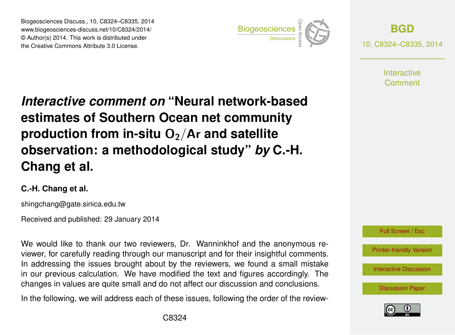Biogeosciences Discuss., 10, C8324–C8335, 2014 www.biogeosciences-discuss.net/10/C8324/2014/ © Author(s) 2014. This work is distributed under Biogeosciences Discuss., 10, C8324–C8335, 2014<br>www.biogeosciences-discuss.net/10/C8324/2014/<br>© Author(s) 2014. This work is distributed under<br>the Creative Commons Attribute 3.0 License.



**[BGD](http://www.biogeosciences-discuss.net)** 10, C8324–C8335, 2014

> **Interactive** Comment

## *Interactive comment on* **"Neural network-based estimates of Southern Ocean net community production from in-situ O<sub>2</sub>/Ar and satellite observation: a methodological study"** *by* **C.-H. Chang et al.**

## **C.-H. Chang et al.**

shingchang@gate.sinica.edu.tw

Received and published: 29 January 2014

We would like to thank our two reviewers, Dr. Wanninkhof and the anonymous reviewer, for carefully reading through our manuscript and for their insightful comments. In addressing the issues brought about by the reviewers, we found a small mistake in our previous calculation. We have modified the text and figures accordingly. The changes in values are quite small and do not affect our discussion and conclusions.

In the following, we will address each of these issues, following the order of the review-



[Printer-friendly Version](http://www.biogeosciences-discuss.net/10/C8324/2014/bgd-10-C8324-2014-print.pdf)

[Interactive Discussion](http://www.biogeosciences-discuss.net/10/16923/2013/bgd-10-16923-2013-discussion.html)

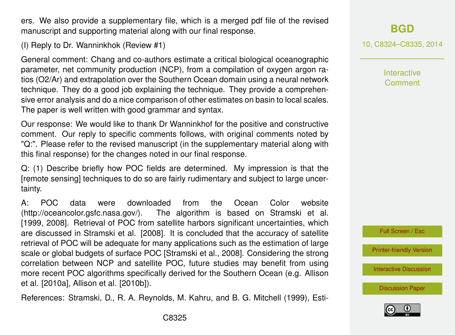ers. We also provide a supplementary file, which is a merged pdf file of the revised manuscript and supporting material along with our final response.

(I) Reply to Dr. Wanninkhok (Review #1)

General comment: Chang and co-authors estimate a critical biological oceanographic parameter, net community production (NCP), from a compilation of oxygen argon ratios (O2/Ar) and extrapolation over the Southern Ocean domain using a neural network technique. They do a good job explaining the technique. They provide a comprehensive error analysis and do a nice comparison of other estimates on basin to local scales. The paper is well written with good grammar and syntax.

Our response: We would like to thank Dr Wanninkhof for the positive and constructive comment. Our reply to specific comments follows, with original comments noted by "Q:". Please refer to the revised manuscript (in the supplementary material along with this final response) for the changes noted in our final response.

Q: (1) Describe briefly how POC fields are determined. My impression is that the [remote sensing] techniques to do so are fairly rudimentary and subject to large uncertainty.

A: POC data were downloaded from the Ocean Color website (http://oceancolor.gsfc.nasa.gov/). The algorithm is based on Stramski et al. [1999, 2008]. Retrieval of POC from satellite harbors significant uncertainties, which are discussed in Stramski et al. [2008]. It is concluded that the accuracy of satellite retrieval of POC will be adequate for many applications such as the estimation of large scale or global budgets of surface POC [Stramski et al., 2008]. Considering the strong correlation between NCP and satellite POC, future studies may benefit from using more recent POC algorithms specifically derived for the Southern Ocean (e.g. Allison et al. [2010a], Allison et al. [2010b]).

References: Stramski, D., R. A. Reynolds, M. Kahru, and B. G. Mitchell (1999), Esti-

10, C8324–C8335, 2014

**Interactive** Comment



[Printer-friendly Version](http://www.biogeosciences-discuss.net/10/C8324/2014/bgd-10-C8324-2014-print.pdf)

[Interactive Discussion](http://www.biogeosciences-discuss.net/10/16923/2013/bgd-10-16923-2013-discussion.html)

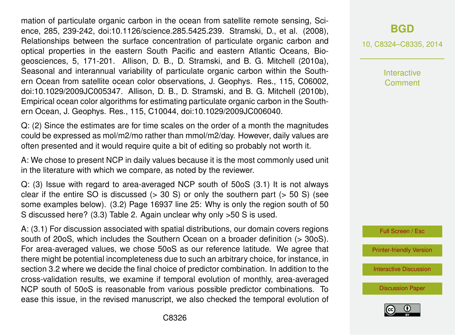mation of particulate organic carbon in the ocean from satellite remote sensing, Science, 285, 239-242, doi:10.1126/science.285.5425.239. Stramski, D., et al. (2008), Relationships between the surface concentration of particulate organic carbon and optical properties in the eastern South Pacific and eastern Atlantic Oceans, Biogeosciences, 5, 171-201. Allison, D. B., D. Stramski, and B. G. Mitchell (2010a), Seasonal and interannual variability of particulate organic carbon within the Southern Ocean from satellite ocean color observations, J. Geophys. Res., 115, C06002, doi:10.1029/2009JC005347. Allison, D. B., D. Stramski, and B. G. Mitchell (2010b), Empirical ocean color algorithms for estimating particulate organic carbon in the Southern Ocean, J. Geophys. Res., 115, C10044, doi:10.1029/2009JC006040.

Q: (2) Since the estimates are for time scales on the order of a month the magnitudes could be expressed as mol/m2/mo rather than mmol/m2/day. However, daily values are often presented and it would require quite a bit of editing so probably not worth it.

A: We chose to present NCP in daily values because it is the most commonly used unit in the literature with which we compare, as noted by the reviewer.

Q: (3) Issue with regard to area-averaged NCP south of 50oS (3.1) It is not always clear if the entire SO is discussed  $(> 30 S)$  or only the southern part  $(> 50 S)$  (see some examples below). (3.2) Page 16937 line 25: Why is only the region south of 50 S discussed here? (3.3) Table 2. Again unclear why only >50 S is used.

A: (3.1) For discussion associated with spatial distributions, our domain covers regions south of 20oS, which includes the Southern Ocean on a broader definition (> 30oS). For area-averaged values, we chose 50oS as our reference latitude. We agree that there might be potential incompleteness due to such an arbitrary choice, for instance, in section 3.2 where we decide the final choice of predictor combination. In addition to the cross-validation results, we examine if temporal evolution of monthly, area-averaged NCP south of 50oS is reasonable from various possible predictor combinations. To ease this issue, in the revised manuscript, we also checked the temporal evolution of 10, C8324–C8335, 2014

**Interactive** Comment



[Printer-friendly Version](http://www.biogeosciences-discuss.net/10/C8324/2014/bgd-10-C8324-2014-print.pdf)

[Interactive Discussion](http://www.biogeosciences-discuss.net/10/16923/2013/bgd-10-16923-2013-discussion.html)

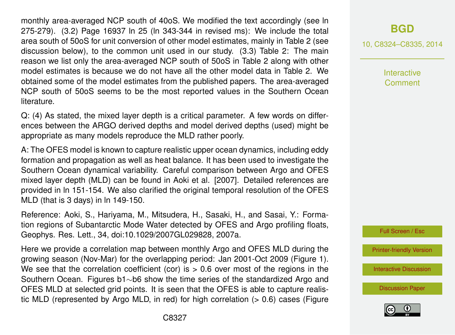monthly area-averaged NCP south of 40oS. We modified the text accordingly (see ln 275-279). (3.2) Page 16937 ln 25 (ln 343-344 in revised ms): We include the total area south of 50oS for unit conversion of other model estimates, mainly in Table 2 (see discussion below), to the common unit used in our study. (3.3) Table 2: The main reason we list only the area-averaged NCP south of 50oS in Table 2 along with other model estimates is because we do not have all the other model data in Table 2. We obtained some of the model estimates from the published papers. The area-averaged NCP south of 50oS seems to be the most reported values in the Southern Ocean literature.

Q: (4) As stated, the mixed layer depth is a critical parameter. A few words on differences between the ARGO derived depths and model derived depths (used) might be appropriate as many models reproduce the MLD rather poorly.

A: The OFES model is known to capture realistic upper ocean dynamics, including eddy formation and propagation as well as heat balance. It has been used to investigate the Southern Ocean dynamical variability. Careful comparison between Argo and OFES mixed layer depth (MLD) can be found in Aoki et al. [2007]. Detailed references are provided in ln 151-154. We also clarified the original temporal resolution of the OFES MLD (that is 3 days) in ln 149-150.

Reference: Aoki, S., Hariyama, M., Mitsudera, H., Sasaki, H., and Sasai, Y.: Formation regions of Subantarctic Mode Water detected by OFES and Argo profiling floats, Geophys. Res. Lett., 34, doi:10.1029/2007GL029828, 2007a.

Here we provide a correlation map between monthly Argo and OFES MLD during the growing season (Nov-Mar) for the overlapping period: Jan 2001-Oct 2009 (Figure 1). We see that the correlation coefficient (cor) is  $> 0.6$  over most of the regions in the Southern Ocean. Figures b1∼b6 show the time series of the standardized Argo and OFES MLD at selected grid points. It is seen that the OFES is able to capture realistic MLD (represented by Argo MLD, in red) for high correlation (> 0.6) cases (Figure

## **[BGD](http://www.biogeosciences-discuss.net)**

10, C8324–C8335, 2014

**Interactive Comment** 



[Printer-friendly Version](http://www.biogeosciences-discuss.net/10/C8324/2014/bgd-10-C8324-2014-print.pdf)

[Interactive Discussion](http://www.biogeosciences-discuss.net/10/16923/2013/bgd-10-16923-2013-discussion.html)

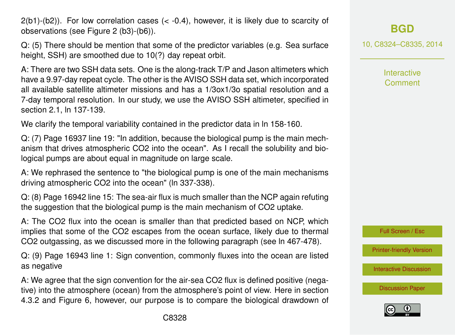C8328

as negative A: We agree that the sign convention for the air-sea CO2 flux is defined positive (nega-

Q: (9) Page 16943 line 1: Sign convention, commonly fluxes into the ocean are listed

tive) into the atmosphere (ocean) from the atmosphere's point of view. Here in section 4.3.2 and Figure 6, however, our purpose is to compare the biological drawdown of

 $2(b1)-(b2)$ ). For low correlation cases  $(< -0.4)$ , however, it is likely due to scarcity of observations (see Figure 2 (b3)-(b6)).

Q: (5) There should be mention that some of the predictor variables (e.g. Sea surface height, SSH) are smoothed due to 10(?) day repeat orbit.

A: There are two SSH data sets. One is the along-track T/P and Jason altimeters which have a 9.97-day repeat cycle. The other is the AVISO SSH data set, which incorporated all available satellite altimeter missions and has a 1/3ox1/3o spatial resolution and a 7-day temporal resolution. In our study, we use the AVISO SSH altimeter, specified in section 2.1, ln 137-139.

We clarify the temporal variability contained in the predictor data in In 158-160.

Q: (7) Page 16937 line 19: "In addition, because the biological pump is the main mechanism that drives atmospheric CO2 into the ocean". As I recall the solubility and biological pumps are about equal in magnitude on large scale.

A: We rephrased the sentence to "the biological pump is one of the main mechanisms driving atmospheric CO2 into the ocean" (ln 337-338).

Q: (8) Page 16942 line 15: The sea-air flux is much smaller than the NCP again refuting

the suggestion that the biological pump is the main mechanism of CO2 uptake.

A: The CO2 flux into the ocean is smaller than that predicted based on NCP, which implies that some of the CO2 escapes from the ocean surface, likely due to thermal CO2 outgassing, as we discussed more in the following paragraph (see ln 467-478).

10, C8324–C8335, 2014

**[BGD](http://www.biogeosciences-discuss.net)**

Interactive **Comment** 

Full Screen / Esc

[Printer-friendly Version](http://www.biogeosciences-discuss.net/10/C8324/2014/bgd-10-C8324-2014-print.pdf)

[Interactive Discussion](http://www.biogeosciences-discuss.net/10/16923/2013/bgd-10-16923-2013-discussion.html)

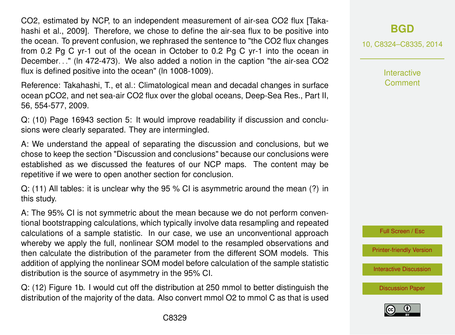CO2, estimated by NCP, to an independent measurement of air-sea CO2 flux [Takahashi et al., 2009]. Therefore, we chose to define the air-sea flux to be positive into the ocean. To prevent confusion, we rephrased the sentence to "the CO2 flux changes from 0.2 Pg C yr-1 out of the ocean in October to 0.2 Pg C yr-1 into the ocean in December. . ." (ln 472-473). We also added a notion in the caption "the air-sea CO2 flux is defined positive into the ocean" (ln 1008-1009).

Reference: Takahashi, T., et al.: Climatological mean and decadal changes in surface ocean pCO2, and net sea-air CO2 flux over the global oceans, Deep-Sea Res., Part II, 56, 554-577, 2009.

Q: (10) Page 16943 section 5: It would improve readability if discussion and conclusions were clearly separated. They are intermingled.

A: We understand the appeal of separating the discussion and conclusions, but we chose to keep the section "Discussion and conclusions" because our conclusions were established as we discussed the features of our NCP maps. The content may be repetitive if we were to open another section for conclusion.

Q: (11) All tables: it is unclear why the 95 % CI is asymmetric around the mean (?) in this study.

A: The 95% CI is not symmetric about the mean because we do not perform conventional bootstrapping calculations, which typically involve data resampling and repeated calculations of a sample statistic. In our case, we use an unconventional approach whereby we apply the full, nonlinear SOM model to the resampled observations and then calculate the distribution of the parameter from the different SOM models. This addition of applying the nonlinear SOM model before calculation of the sample statistic distribution is the source of asymmetry in the 95% CI.

Q: (12) Figure 1b. I would cut off the distribution at 250 mmol to better distinguish the distribution of the majority of the data. Also convert mmol O2 to mmol C as that is used 10, C8324–C8335, 2014

**Interactive Comment** 



[Printer-friendly Version](http://www.biogeosciences-discuss.net/10/C8324/2014/bgd-10-C8324-2014-print.pdf)

[Interactive Discussion](http://www.biogeosciences-discuss.net/10/16923/2013/bgd-10-16923-2013-discussion.html)

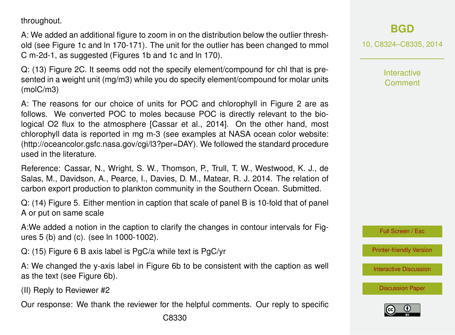throughout.

A: We added an additional figure to zoom in on the distribution below the outlier threshold (see Figure 1c and ln 170-171). The unit for the outlier has been changed to mmol C m-2d-1, as suggested (Figures 1b and 1c and ln 170).

Q: (13) Figure 2C. It seems odd not the specify element/compound for chl that is presented in a weight unit (mg/m3) while you do specify element/compound for molar units (molC/m3)

A: The reasons for our choice of units for POC and chlorophyll in Figure 2 are as follows. We converted POC to moles because POC is directly relevant to the biological O2 flux to the atmosphere [Cassar et al., 2014]. On the other hand, most chlorophyll data is reported in mg m-3 (see examples at NASA ocean color website: (http://oceancolor.gsfc.nasa.gov/cgi/l3?per=DAY). We followed the standard procedure used in the literature.

Reference: Cassar, N., Wright, S. W., Thomson, P., Trull, T. W., Westwood, K. J., de Salas, M., Davidson, A., Pearce, I., Davies, D. M., Matear, R. J. 2014. The relation of carbon export production to plankton community in the Southern Ocean. Submitted.

Q: (14) Figure 5. Either mention in caption that scale of panel B is 10-fold that of panel A or put on same scale

A:We added a notion in the caption to clarify the changes in contour intervals for Figures 5 (b) and (c). (see ln 1000-1002).

Q: (15) Figure 6 B axis label is PgC/a while text is PgC/yr

A: We changed the y-axis label in Figure 6b to be consistent with the caption as well as the text (see Figure 6b).

(II) Reply to Reviewer #2

Our response: We thank the reviewer for the helpful comments. Our reply to specific

10, C8324–C8335, 2014

Interactive Comment

Full Screen / Esc

[Printer-friendly Version](http://www.biogeosciences-discuss.net/10/C8324/2014/bgd-10-C8324-2014-print.pdf)

[Interactive Discussion](http://www.biogeosciences-discuss.net/10/16923/2013/bgd-10-16923-2013-discussion.html)

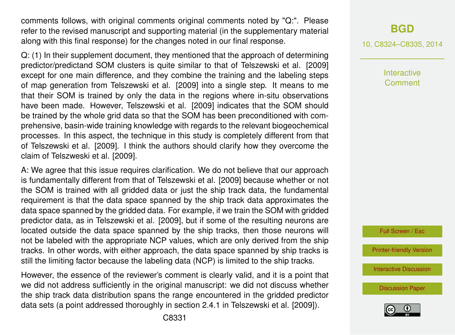comments follows, with original comments original comments noted by "Q:". Please refer to the revised manuscript and supporting material (in the supplementary material along with this final response) for the changes noted in our final response.

Q: (1) In their supplement document, they mentioned that the approach of determining predictor/predictand SOM clusters is quite similar to that of Telszewski et al. [2009] except for one main difference, and they combine the training and the labeling steps of map generation from Telszewski et al. [2009] into a single step. It means to me that their SOM is trained by only the data in the regions where in-situ observations have been made. However, Telszewski et al. [2009] indicates that the SOM should be trained by the whole grid data so that the SOM has been preconditioned with comprehensive, basin-wide training knowledge with regards to the relevant biogeochemical processes. In this aspect, the technique in this study is completely different from that of Telszewski et al. [2009]. I think the authors should clarify how they overcome the claim of Telszweski et al. [2009].

A: We agree that this issue requires clarification. We do not believe that our approach is fundamentally different from that of Telszewski et al. [2009] because whether or not the SOM is trained with all gridded data or just the ship track data, the fundamental requirement is that the data space spanned by the ship track data approximates the data space spanned by the gridded data. For example, if we train the SOM with gridded predictor data, as in Telszewski et al. [2009], but if some of the resulting neurons are located outside the data space spanned by the ship tracks, then those neurons will not be labeled with the appropriate NCP values, which are only derived from the ship tracks. In other words, with either approach, the data space spanned by ship tracks is still the limiting factor because the labeling data (NCP) is limited to the ship tracks.

However, the essence of the reviewer's comment is clearly valid, and it is a point that we did not address sufficiently in the original manuscript: we did not discuss whether the ship track data distribution spans the range encountered in the gridded predictor data sets (a point addressed thoroughly in section 2.4.1 in Telszewski et al. [2009]).

**[BGD](http://www.biogeosciences-discuss.net)**

10, C8324–C8335, 2014

**Interactive** Comment

Full Screen / Esc

[Printer-friendly Version](http://www.biogeosciences-discuss.net/10/C8324/2014/bgd-10-C8324-2014-print.pdf)

[Interactive Discussion](http://www.biogeosciences-discuss.net/10/16923/2013/bgd-10-16923-2013-discussion.html)

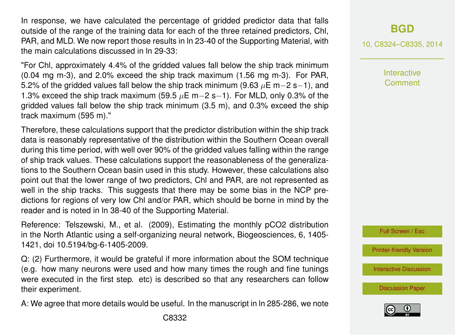In response, we have calculated the percentage of gridded predictor data that falls outside of the range of the training data for each of the three retained predictors, Chl, PAR, and MLD. We now report those results in ln 23-40 of the Supporting Material, with the main calculations discussed in ln 29-33:

"For Chl, approximately 4.4% of the gridded values fall below the ship track minimum (0.04 mg m-3), and 2.0% exceed the ship track maximum (1.56 mg m-3). For PAR, 5.2% of the gridded values fall below the ship track minimum (9.63  $\mu$ E m−2 s−1), and 1.3% exceed the ship track maximum (59.5  $\mu$ E m−2 s−1). For MLD, only 0.3% of the gridded values fall below the ship track minimum (3.5 m), and 0.3% exceed the ship track maximum (595 m)."

Therefore, these calculations support that the predictor distribution within the ship track data is reasonably representative of the distribution within the Southern Ocean overall during this time period, with well over 90% of the gridded values falling within the range of ship track values. These calculations support the reasonableness of the generalizations to the Southern Ocean basin used in this study. However, these calculations also point out that the lower range of two predictors, Chl and PAR, are not represented as well in the ship tracks. This suggests that there may be some bias in the NCP predictions for regions of very low Chl and/or PAR, which should be borne in mind by the reader and is noted in ln 38-40 of the Supporting Material.

Reference: Telszewski, M., et al. (2009), Estimating the monthly pCO2 distribution in the North Atlantic using a self-organizing neural network, Biogeosciences, 6, 1405- 1421, doi 10.5194/bg-6-1405-2009.

Q: (2) Furthermore, it would be grateful if more information about the SOM technique (e.g. how many neurons were used and how many times the rough and fine tunings were executed in the first step. etc) is described so that any researchers can follow their experiment.

A: We agree that more details would be useful. In the manuscript in ln 285-286, we note

10, C8324–C8335, 2014

**Interactive Comment** 

Full Screen / Esc

[Printer-friendly Version](http://www.biogeosciences-discuss.net/10/C8324/2014/bgd-10-C8324-2014-print.pdf)

[Interactive Discussion](http://www.biogeosciences-discuss.net/10/16923/2013/bgd-10-16923-2013-discussion.html)

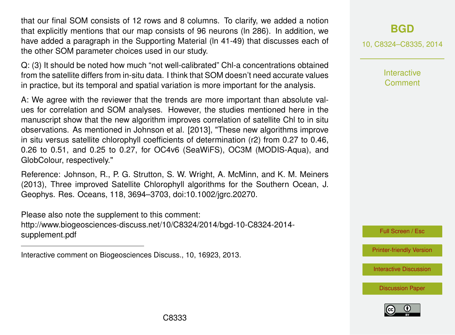that our final SOM consists of 12 rows and 8 columns. To clarify, we added a notion that explicitly mentions that our map consists of 96 neurons (ln 286). In addition, we have added a paragraph in the Supporting Material (ln 41-49) that discusses each of the other SOM parameter choices used in our study.

Q: (3) It should be noted how much "not well-calibrated" Chl-a concentrations obtained from the satellite differs from in-situ data. I think that SOM doesn't need accurate values in practice, but its temporal and spatial variation is more important for the analysis.

A: We agree with the reviewer that the trends are more important than absolute values for correlation and SOM analyses. However, the studies mentioned here in the manuscript show that the new algorithm improves correlation of satellite Chl to in situ observations. As mentioned in Johnson et al. [2013], "These new algorithms improve in situ versus satellite chlorophyll coefficients of determination (r2) from 0.27 to 0.46, 0.26 to 0.51, and 0.25 to 0.27, for OC4v6 (SeaWiFS), OC3M (MODIS-Aqua), and GlobColour, respectively."

Reference: Johnson, R., P. G. Strutton, S. W. Wright, A. McMinn, and K. M. Meiners (2013), Three improved Satellite Chlorophyll algorithms for the Southern Ocean, J. Geophys. Res. Oceans, 118, 3694–3703, doi:10.1002/jgrc.20270.

Please also note the supplement to this comment: [http://www.biogeosciences-discuss.net/10/C8324/2014/bgd-10-C8324-2014](http://www.biogeosciences-discuss.net/10/C8324/2014/bgd-10-C8324-2014-supplement.pdf) [supplement.pdf](http://www.biogeosciences-discuss.net/10/C8324/2014/bgd-10-C8324-2014-supplement.pdf)

Interactive comment on Biogeosciences Discuss., 10, 16923, 2013.

## **[BGD](http://www.biogeosciences-discuss.net)**

10, C8324–C8335, 2014

**Interactive Comment** 

Full Screen / Esc

[Printer-friendly Version](http://www.biogeosciences-discuss.net/10/C8324/2014/bgd-10-C8324-2014-print.pdf)

[Interactive Discussion](http://www.biogeosciences-discuss.net/10/16923/2013/bgd-10-16923-2013-discussion.html)

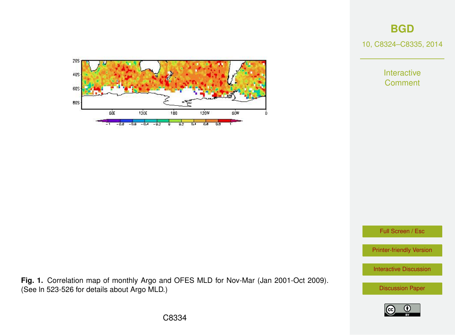**[BGD](http://www.biogeosciences-discuss.net)**

10, C8324–C8335, 2014

Interactive **Comment** 



Full Screen / Esc

[Printer-friendly Version](http://www.biogeosciences-discuss.net/10/C8324/2014/bgd-10-C8324-2014-print.pdf)

[Interactive Discussion](http://www.biogeosciences-discuss.net/10/16923/2013/bgd-10-16923-2013-discussion.html)

[Discussion Paper](http://www.biogeosciences-discuss.net/10/16923/2013/bgd-10-16923-2013.pdf)



**Fig. 1.** Correlation map of monthly Argo and OFES MLD for Nov-Mar (Jan 2001-Oct 2009).

(See ln 523-526 for details about Argo MLD.)